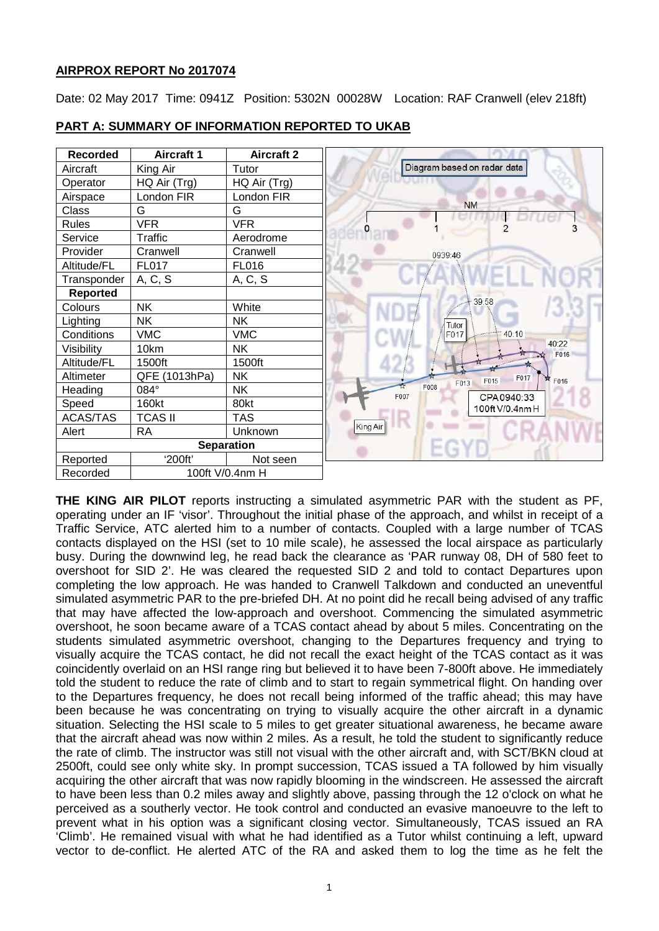# **AIRPROX REPORT No 2017074**

Date: 02 May 2017 Time: 0941Z Position: 5302N 00028W Location: RAF Cranwell (elev 218ft)



## **PART A: SUMMARY OF INFORMATION REPORTED TO UKAB**

**THE KING AIR PILOT** reports instructing a simulated asymmetric PAR with the student as PF, operating under an IF 'visor'. Throughout the initial phase of the approach, and whilst in receipt of a Traffic Service, ATC alerted him to a number of contacts. Coupled with a large number of TCAS contacts displayed on the HSI (set to 10 mile scale), he assessed the local airspace as particularly busy. During the downwind leg, he read back the clearance as 'PAR runway 08, DH of 580 feet to overshoot for SID 2'. He was cleared the requested SID 2 and told to contact Departures upon completing the low approach. He was handed to Cranwell Talkdown and conducted an uneventful simulated asymmetric PAR to the pre-briefed DH. At no point did he recall being advised of any traffic that may have affected the low-approach and overshoot. Commencing the simulated asymmetric overshoot, he soon became aware of a TCAS contact ahead by about 5 miles. Concentrating on the students simulated asymmetric overshoot, changing to the Departures frequency and trying to visually acquire the TCAS contact, he did not recall the exact height of the TCAS contact as it was coincidently overlaid on an HSI range ring but believed it to have been 7-800ft above. He immediately told the student to reduce the rate of climb and to start to regain symmetrical flight. On handing over to the Departures frequency, he does not recall being informed of the traffic ahead; this may have been because he was concentrating on trying to visually acquire the other aircraft in a dynamic situation. Selecting the HSI scale to 5 miles to get greater situational awareness, he became aware that the aircraft ahead was now within 2 miles. As a result, he told the student to significantly reduce the rate of climb. The instructor was still not visual with the other aircraft and, with SCT/BKN cloud at 2500ft, could see only white sky. In prompt succession, TCAS issued a TA followed by him visually acquiring the other aircraft that was now rapidly blooming in the windscreen. He assessed the aircraft to have been less than 0.2 miles away and slightly above, passing through the 12 o'clock on what he perceived as a southerly vector. He took control and conducted an evasive manoeuvre to the left to prevent what in his option was a significant closing vector. Simultaneously, TCAS issued an RA 'Climb'. He remained visual with what he had identified as a Tutor whilst continuing a left, upward vector to de-conflict. He alerted ATC of the RA and asked them to log the time as he felt the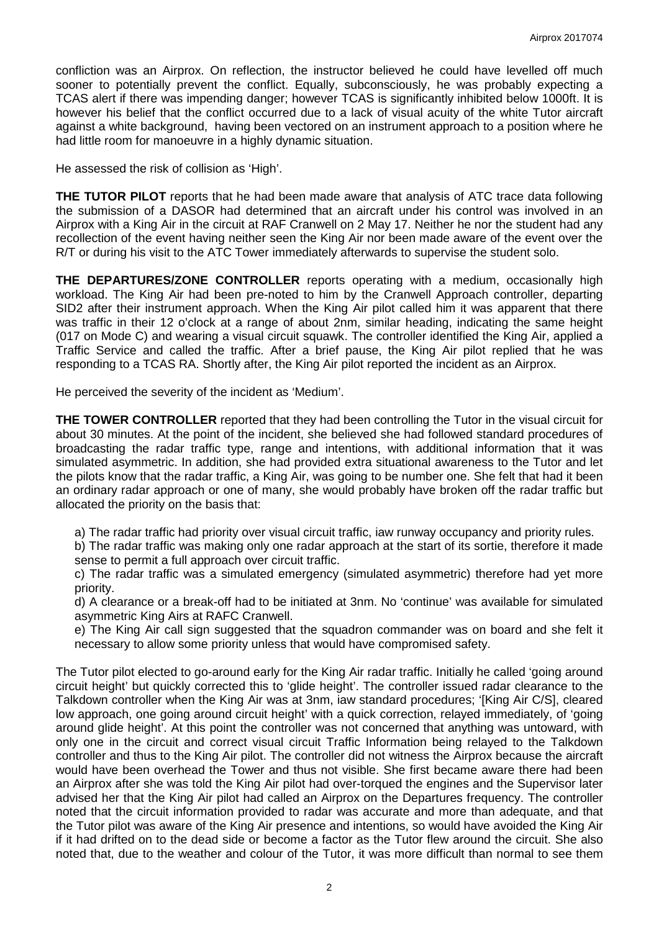confliction was an Airprox. On reflection, the instructor believed he could have levelled off much sooner to potentially prevent the conflict. Equally, subconsciously, he was probably expecting a TCAS alert if there was impending danger; however TCAS is significantly inhibited below 1000ft. It is however his belief that the conflict occurred due to a lack of visual acuity of the white Tutor aircraft against a white background, having been vectored on an instrument approach to a position where he had little room for manoeuvre in a highly dynamic situation.

He assessed the risk of collision as 'High'.

**THE TUTOR PILOT** reports that he had been made aware that analysis of ATC trace data following the submission of a DASOR had determined that an aircraft under his control was involved in an Airprox with a King Air in the circuit at RAF Cranwell on 2 May 17. Neither he nor the student had any recollection of the event having neither seen the King Air nor been made aware of the event over the R/T or during his visit to the ATC Tower immediately afterwards to supervise the student solo.

**THE DEPARTURES/ZONE CONTROLLER** reports operating with a medium, occasionally high workload. The King Air had been pre-noted to him by the Cranwell Approach controller, departing SID2 after their instrument approach. When the King Air pilot called him it was apparent that there was traffic in their 12 o'clock at a range of about 2nm, similar heading, indicating the same height (017 on Mode C) and wearing a visual circuit squawk. The controller identified the King Air, applied a Traffic Service and called the traffic. After a brief pause, the King Air pilot replied that he was responding to a TCAS RA. Shortly after, the King Air pilot reported the incident as an Airprox.

He perceived the severity of the incident as 'Medium'.

**THE TOWER CONTROLLER** reported that they had been controlling the Tutor in the visual circuit for about 30 minutes. At the point of the incident, she believed she had followed standard procedures of broadcasting the radar traffic type, range and intentions, with additional information that it was simulated asymmetric. In addition, she had provided extra situational awareness to the Tutor and let the pilots know that the radar traffic, a King Air, was going to be number one. She felt that had it been an ordinary radar approach or one of many, she would probably have broken off the radar traffic but allocated the priority on the basis that:

a) The radar traffic had priority over visual circuit traffic, iaw runway occupancy and priority rules.

b) The radar traffic was making only one radar approach at the start of its sortie, therefore it made sense to permit a full approach over circuit traffic.

c) The radar traffic was a simulated emergency (simulated asymmetric) therefore had yet more priority.

d) A clearance or a break-off had to be initiated at 3nm. No 'continue' was available for simulated asymmetric King Airs at RAFC Cranwell.

e) The King Air call sign suggested that the squadron commander was on board and she felt it necessary to allow some priority unless that would have compromised safety.

The Tutor pilot elected to go-around early for the King Air radar traffic. Initially he called 'going around circuit height' but quickly corrected this to 'glide height'. The controller issued radar clearance to the Talkdown controller when the King Air was at 3nm, iaw standard procedures; '[King Air C/S], cleared low approach, one going around circuit height' with a quick correction, relayed immediately, of 'going around glide height'. At this point the controller was not concerned that anything was untoward, with only one in the circuit and correct visual circuit Traffic Information being relayed to the Talkdown controller and thus to the King Air pilot. The controller did not witness the Airprox because the aircraft would have been overhead the Tower and thus not visible. She first became aware there had been an Airprox after she was told the King Air pilot had over-torqued the engines and the Supervisor later advised her that the King Air pilot had called an Airprox on the Departures frequency. The controller noted that the circuit information provided to radar was accurate and more than adequate, and that the Tutor pilot was aware of the King Air presence and intentions, so would have avoided the King Air if it had drifted on to the dead side or become a factor as the Tutor flew around the circuit. She also noted that, due to the weather and colour of the Tutor, it was more difficult than normal to see them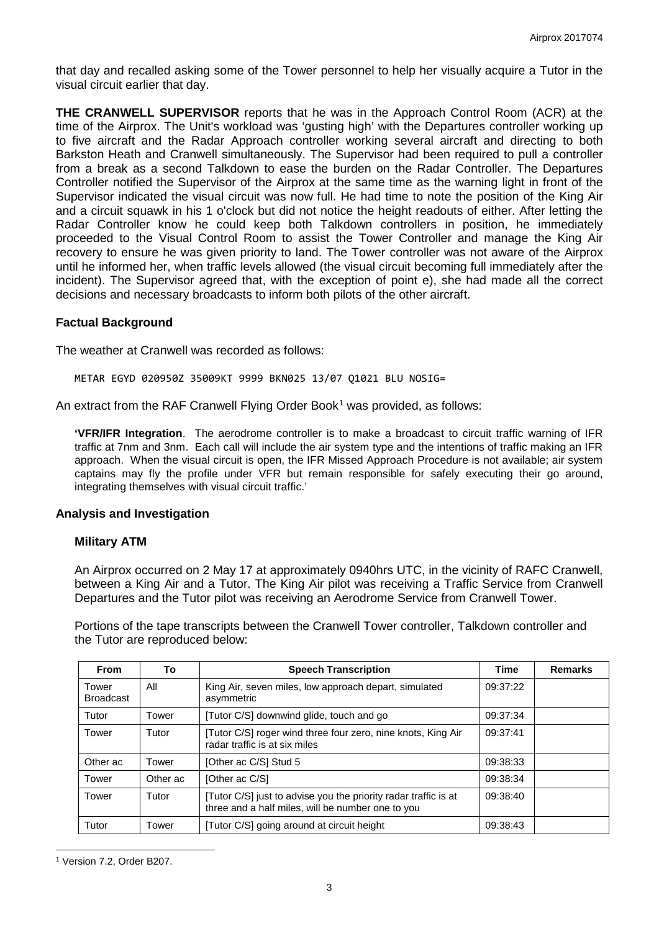that day and recalled asking some of the Tower personnel to help her visually acquire a Tutor in the visual circuit earlier that day.

**THE CRANWELL SUPERVISOR** reports that he was in the Approach Control Room (ACR) at the time of the Airprox. The Unit's workload was 'gusting high' with the Departures controller working up to five aircraft and the Radar Approach controller working several aircraft and directing to both Barkston Heath and Cranwell simultaneously. The Supervisor had been required to pull a controller from a break as a second Talkdown to ease the burden on the Radar Controller. The Departures Controller notified the Supervisor of the Airprox at the same time as the warning light in front of the Supervisor indicated the visual circuit was now full. He had time to note the position of the King Air and a circuit squawk in his 1 o'clock but did not notice the height readouts of either. After letting the Radar Controller know he could keep both Talkdown controllers in position, he immediately proceeded to the Visual Control Room to assist the Tower Controller and manage the King Air recovery to ensure he was given priority to land. The Tower controller was not aware of the Airprox until he informed her, when traffic levels allowed (the visual circuit becoming full immediately after the incident). The Supervisor agreed that, with the exception of point e), she had made all the correct decisions and necessary broadcasts to inform both pilots of the other aircraft.

### **Factual Background**

The weather at Cranwell was recorded as follows:

METAR EGYD 020950Z 35009KT 9999 BKN025 13/07 Q1021 BLU NOSIG=

An extract from the RAF Cranwell Flying Order Book<sup>[1](#page-2-0)</sup> was provided, as follows:

**'VFR/IFR Integration**. The aerodrome controller is to make a broadcast to circuit traffic warning of IFR traffic at 7nm and 3nm. Each call will include the air system type and the intentions of traffic making an IFR approach. When the visual circuit is open, the IFR Missed Approach Procedure is not available; air system captains may fly the profile under VFR but remain responsible for safely executing their go around, integrating themselves with visual circuit traffic.'

### **Analysis and Investigation**

### **Military ATM**

An Airprox occurred on 2 May 17 at approximately 0940hrs UTC, in the vicinity of RAFC Cranwell, between a King Air and a Tutor. The King Air pilot was receiving a Traffic Service from Cranwell Departures and the Tutor pilot was receiving an Aerodrome Service from Cranwell Tower.

Portions of the tape transcripts between the Cranwell Tower controller, Talkdown controller and the Tutor are reproduced below:

| <b>From</b>               | To       | <b>Speech Transcription</b>                                                                                          | <b>Time</b> | <b>Remarks</b> |
|---------------------------|----------|----------------------------------------------------------------------------------------------------------------------|-------------|----------------|
| Tower<br><b>Broadcast</b> | All      | King Air, seven miles, low approach depart, simulated<br>asymmetric                                                  | 09:37:22    |                |
| Tutor                     | Tower    | [Tutor C/S] downwind glide, touch and go                                                                             | 09:37:34    |                |
| Tower                     | Tutor    | [Tutor C/S] roger wind three four zero, nine knots, King Air<br>radar traffic is at six miles                        | 09:37:41    |                |
| Other ac                  | Tower    | [Other ac C/S] Stud 5                                                                                                | 09:38:33    |                |
| Tower                     | Other ac | [Other ac C/S]                                                                                                       | 09:38:34    |                |
| Tower                     | Tutor    | [Tutor C/S] just to advise you the priority radar traffic is at<br>three and a half miles, will be number one to you | 09:38:40    |                |
| Tutor                     | Tower    | [Tutor C/S] going around at circuit height                                                                           | 09:38:43    |                |

<span id="page-2-0"></span><sup>1</sup> Version 7.2, Order B207.

 $\overline{\phantom{a}}$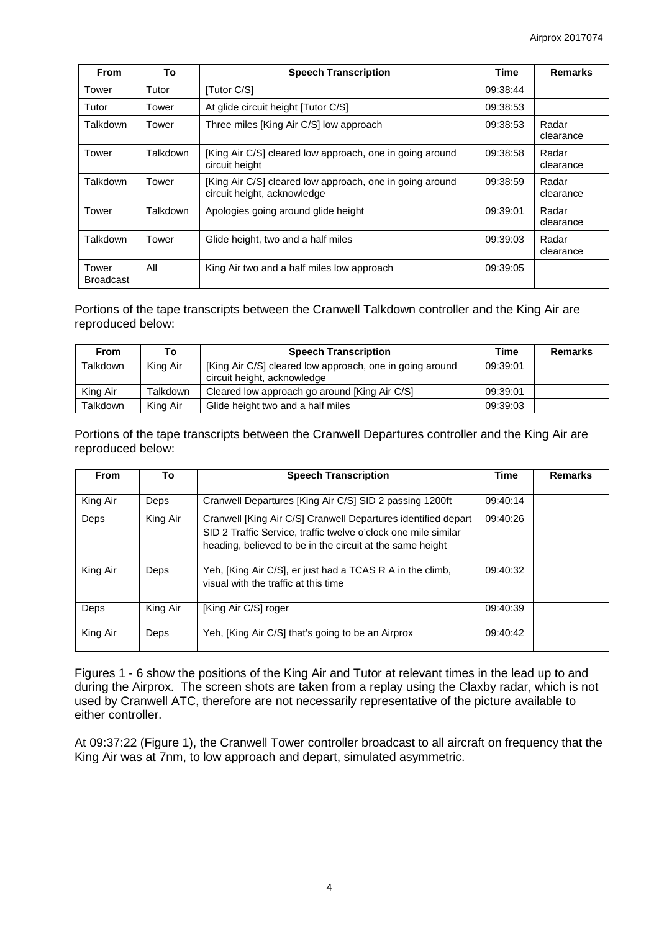| <b>From</b>               | To       | <b>Speech Transcription</b>                                                             | <b>Time</b> | <b>Remarks</b>     |
|---------------------------|----------|-----------------------------------------------------------------------------------------|-------------|--------------------|
| Tower                     | Tutor    | [Tutor C/S]                                                                             | 09:38:44    |                    |
| Tutor                     | Tower    | At glide circuit height [Tutor C/S]                                                     | 09:38:53    |                    |
| Talkdown                  | Tower    | Three miles [King Air C/S] low approach                                                 | 09:38:53    | Radar<br>clearance |
| Tower                     | Talkdown | [King Air C/S] cleared low approach, one in going around<br>circuit height              | 09:38:58    | Radar<br>clearance |
| Talkdown                  | Tower    | [King Air C/S] cleared low approach, one in going around<br>circuit height, acknowledge | 09:38:59    | Radar<br>clearance |
| Tower                     | Talkdown | Apologies going around glide height                                                     | 09:39:01    | Radar<br>clearance |
| Talkdown                  | Tower    | Glide height, two and a half miles                                                      | 09:39:03    | Radar<br>clearance |
| Tower<br><b>Broadcast</b> | All      | King Air two and a half miles low approach                                              | 09:39:05    |                    |

Portions of the tape transcripts between the Cranwell Talkdown controller and the King Air are reproduced below:

| <b>From</b>     | Т٥       | <b>Speech Transcription</b>                                                             | Time     | <b>Remarks</b> |
|-----------------|----------|-----------------------------------------------------------------------------------------|----------|----------------|
| Talkdown        | King Air | [King Air C/S] cleared low approach, one in going around<br>circuit height, acknowledge | 09:39:01 |                |
| King Air        | Talkdown | Cleared low approach go around [King Air C/S]                                           | 09:39:01 |                |
| <b>Talkdown</b> | King Air | Glide height two and a half miles                                                       | 09:39:03 |                |

Portions of the tape transcripts between the Cranwell Departures controller and the King Air are reproduced below:

| <b>From</b> | To       | <b>Speech Transcription</b>                                                                                                                                                                  | <b>Time</b> | <b>Remarks</b> |
|-------------|----------|----------------------------------------------------------------------------------------------------------------------------------------------------------------------------------------------|-------------|----------------|
| King Air    | Deps     | Cranwell Departures [King Air C/S] SID 2 passing 1200ft                                                                                                                                      | 09:40:14    |                |
| Deps        | King Air | Cranwell [King Air C/S] Cranwell Departures identified depart<br>SID 2 Traffic Service, traffic twelve o'clock one mile similar<br>heading, believed to be in the circuit at the same height | 09:40:26    |                |
| King Air    | Deps     | Yeh, [King Air C/S], er just had a TCAS R A in the climb,<br>visual with the traffic at this time                                                                                            | 09:40:32    |                |
| Deps        | King Air | [King Air C/S] roger                                                                                                                                                                         | 09:40:39    |                |
| King Air    | Deps     | Yeh, [King Air C/S] that's going to be an Airprox                                                                                                                                            | 09:40:42    |                |

Figures 1 - 6 show the positions of the King Air and Tutor at relevant times in the lead up to and during the Airprox. The screen shots are taken from a replay using the Claxby radar, which is not used by Cranwell ATC, therefore are not necessarily representative of the picture available to either controller.

At 09:37:22 (Figure 1), the Cranwell Tower controller broadcast to all aircraft on frequency that the King Air was at 7nm, to low approach and depart, simulated asymmetric.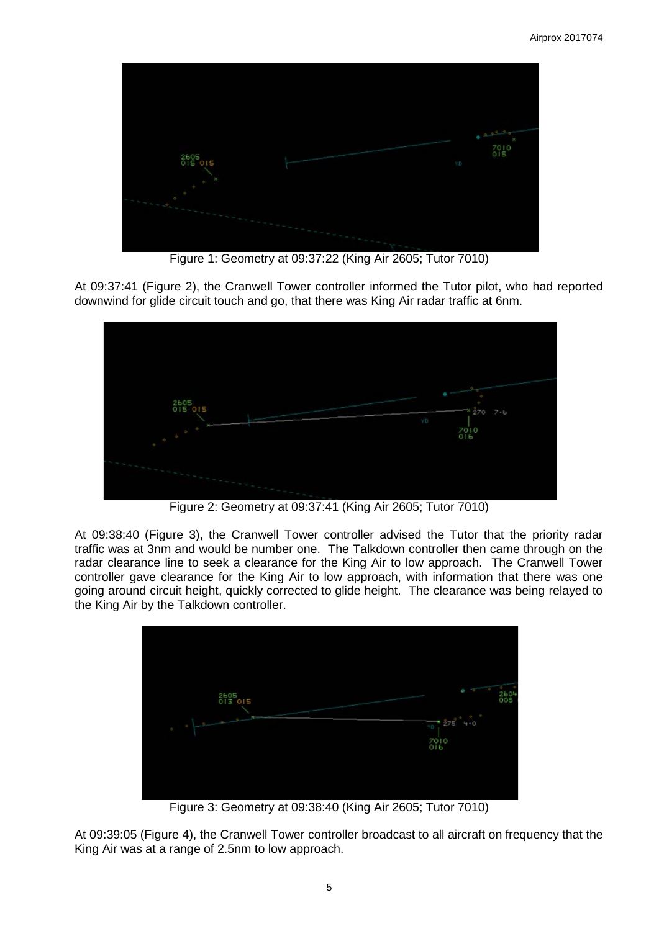

Figure 1: Geometry at 09:37:22 (King Air 2605; Tutor 7010)

At 09:37:41 (Figure 2), the Cranwell Tower controller informed the Tutor pilot, who had reported downwind for glide circuit touch and go, that there was King Air radar traffic at 6nm.



Figure 2: Geometry at 09:37:41 (King Air 2605; Tutor 7010)

At 09:38:40 (Figure 3), the Cranwell Tower controller advised the Tutor that the priority radar traffic was at 3nm and would be number one. The Talkdown controller then came through on the radar clearance line to seek a clearance for the King Air to low approach. The Cranwell Tower controller gave clearance for the King Air to low approach, with information that there was one going around circuit height, quickly corrected to glide height. The clearance was being relayed to the King Air by the Talkdown controller.



Figure 3: Geometry at 09:38:40 (King Air 2605; Tutor 7010)

At 09:39:05 (Figure 4), the Cranwell Tower controller broadcast to all aircraft on frequency that the King Air was at a range of 2.5nm to low approach.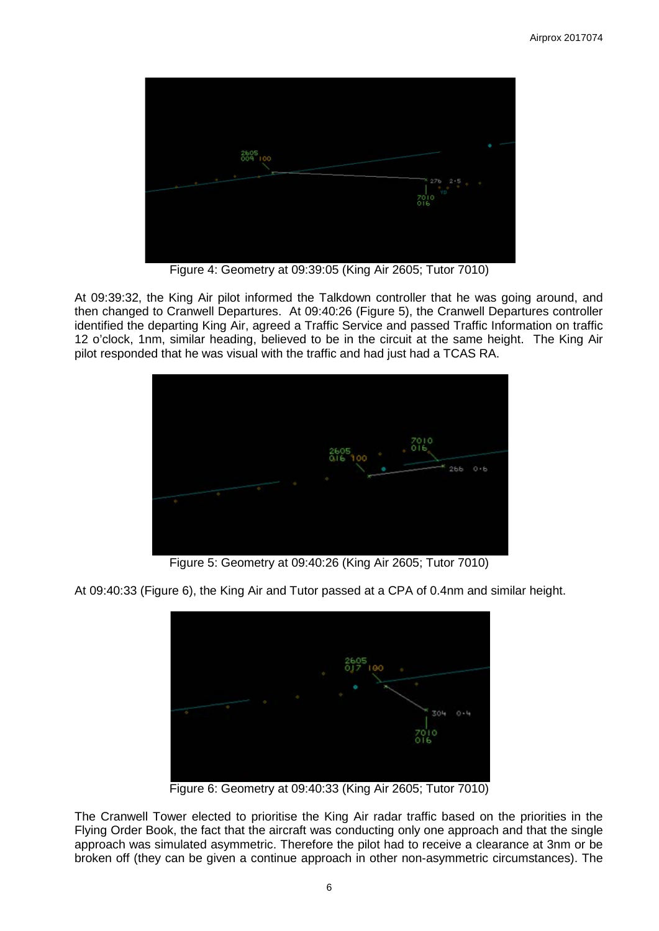

Figure 4: Geometry at 09:39:05 (King Air 2605; Tutor 7010)

At 09:39:32, the King Air pilot informed the Talkdown controller that he was going around, and then changed to Cranwell Departures. At 09:40:26 (Figure 5), the Cranwell Departures controller identified the departing King Air, agreed a Traffic Service and passed Traffic Information on traffic 12 o'clock, 1nm, similar heading, believed to be in the circuit at the same height. The King Air pilot responded that he was visual with the traffic and had just had a TCAS RA.



Figure 5: Geometry at 09:40:26 (King Air 2605; Tutor 7010)

At 09:40:33 (Figure 6), the King Air and Tutor passed at a CPA of 0.4nm and similar height.



Figure 6: Geometry at 09:40:33 (King Air 2605; Tutor 7010)

The Cranwell Tower elected to prioritise the King Air radar traffic based on the priorities in the Flying Order Book, the fact that the aircraft was conducting only one approach and that the single approach was simulated asymmetric. Therefore the pilot had to receive a clearance at 3nm or be broken off (they can be given a continue approach in other non-asymmetric circumstances). The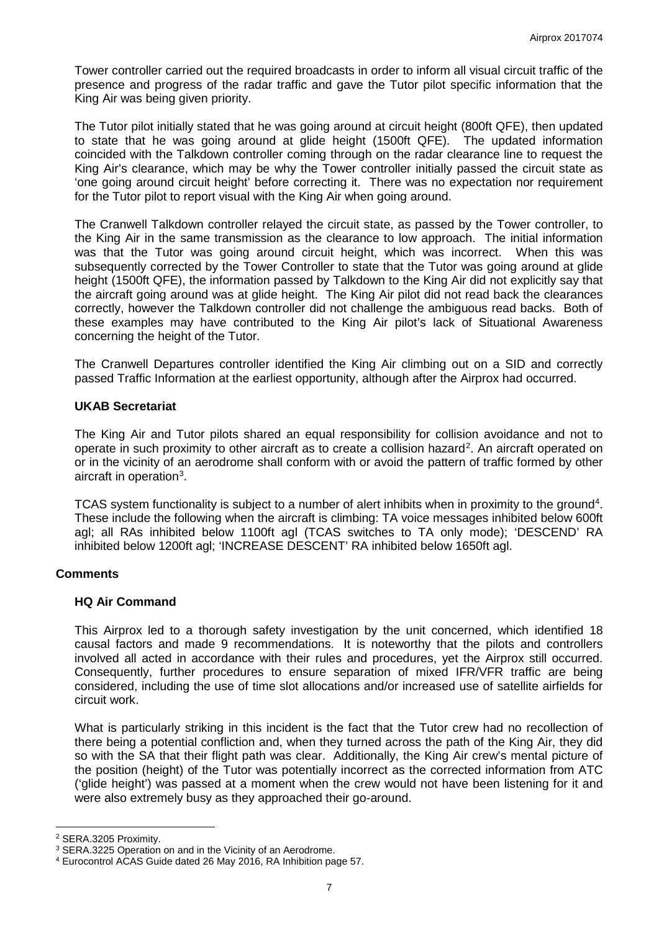Tower controller carried out the required broadcasts in order to inform all visual circuit traffic of the presence and progress of the radar traffic and gave the Tutor pilot specific information that the King Air was being given priority.

The Tutor pilot initially stated that he was going around at circuit height (800ft QFE), then updated to state that he was going around at glide height (1500ft QFE). The updated information coincided with the Talkdown controller coming through on the radar clearance line to request the King Air's clearance, which may be why the Tower controller initially passed the circuit state as 'one going around circuit height' before correcting it. There was no expectation nor requirement for the Tutor pilot to report visual with the King Air when going around.

The Cranwell Talkdown controller relayed the circuit state, as passed by the Tower controller, to the King Air in the same transmission as the clearance to low approach. The initial information was that the Tutor was going around circuit height, which was incorrect. When this was subsequently corrected by the Tower Controller to state that the Tutor was going around at glide height (1500ft QFE), the information passed by Talkdown to the King Air did not explicitly say that the aircraft going around was at glide height. The King Air pilot did not read back the clearances correctly, however the Talkdown controller did not challenge the ambiguous read backs. Both of these examples may have contributed to the King Air pilot's lack of Situational Awareness concerning the height of the Tutor.

The Cranwell Departures controller identified the King Air climbing out on a SID and correctly passed Traffic Information at the earliest opportunity, although after the Airprox had occurred.

## **UKAB Secretariat**

The King Air and Tutor pilots shared an equal responsibility for collision avoidance and not to operate in such proximity to other aircraft as to create a collision hazard<sup>[2](#page-6-0)</sup>. An aircraft operated on or in the vicinity of an aerodrome shall conform with or avoid the pattern of traffic formed by other aircraft in operation<sup>[3](#page-6-1)</sup>.

TCAS system functionality is subject to a number of alert inhibits when in proximity to the ground<sup>[4](#page-6-2)</sup>. These include the following when the aircraft is climbing: TA voice messages inhibited below 600ft agl; all RAs inhibited below 1100ft agl (TCAS switches to TA only mode); 'DESCEND' RA inhibited below 1200ft agl; 'INCREASE DESCENT' RA inhibited below 1650ft agl.

### **Comments**

### **HQ Air Command**

This Airprox led to a thorough safety investigation by the unit concerned, which identified 18 causal factors and made 9 recommendations. It is noteworthy that the pilots and controllers involved all acted in accordance with their rules and procedures, yet the Airprox still occurred. Consequently, further procedures to ensure separation of mixed IFR/VFR traffic are being considered, including the use of time slot allocations and/or increased use of satellite airfields for circuit work.

What is particularly striking in this incident is the fact that the Tutor crew had no recollection of there being a potential confliction and, when they turned across the path of the King Air, they did so with the SA that their flight path was clear. Additionally, the King Air crew's mental picture of the position (height) of the Tutor was potentially incorrect as the corrected information from ATC ('glide height') was passed at a moment when the crew would not have been listening for it and were also extremely busy as they approached their go-around.

 $\overline{\phantom{a}}$ 

<span id="page-6-1"></span><span id="page-6-0"></span><sup>&</sup>lt;sup>2</sup> SERA.3205 Proximity.<br><sup>3</sup> SERA.3225 Operation on and in the Vicinity of an Aerodrome.

<span id="page-6-2"></span><sup>&</sup>lt;sup>4</sup> Eurocontrol ACAS Guide dated 26 May 2016, RA Inhibition page 57.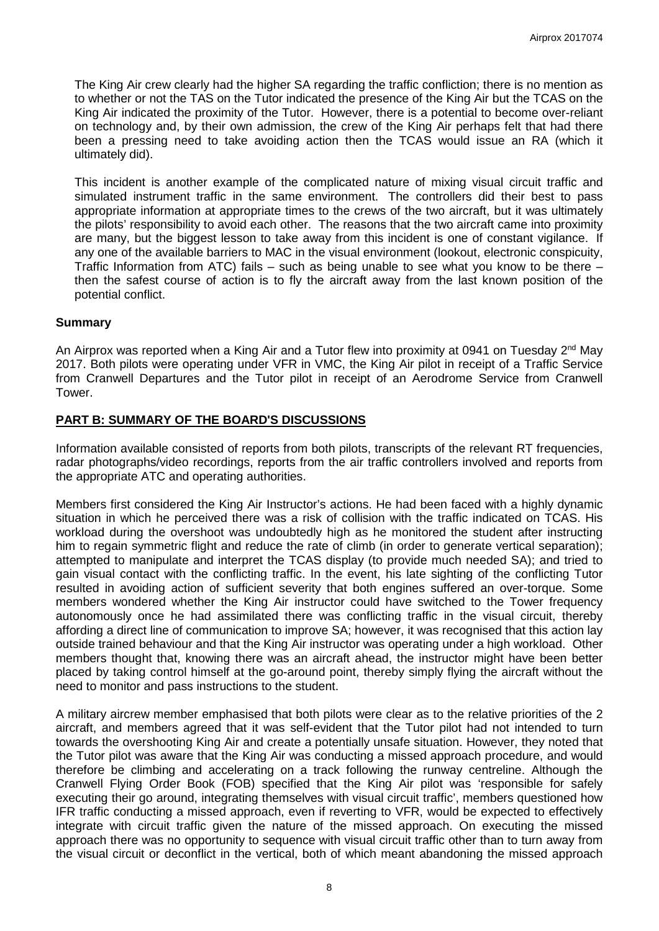The King Air crew clearly had the higher SA regarding the traffic confliction; there is no mention as to whether or not the TAS on the Tutor indicated the presence of the King Air but the TCAS on the King Air indicated the proximity of the Tutor. However, there is a potential to become over-reliant on technology and, by their own admission, the crew of the King Air perhaps felt that had there been a pressing need to take avoiding action then the TCAS would issue an RA (which it ultimately did).

This incident is another example of the complicated nature of mixing visual circuit traffic and simulated instrument traffic in the same environment. The controllers did their best to pass appropriate information at appropriate times to the crews of the two aircraft, but it was ultimately the pilots' responsibility to avoid each other. The reasons that the two aircraft came into proximity are many, but the biggest lesson to take away from this incident is one of constant vigilance. If any one of the available barriers to MAC in the visual environment (lookout, electronic conspicuity, Traffic Information from ATC) fails – such as being unable to see what you know to be there – then the safest course of action is to fly the aircraft away from the last known position of the potential conflict.

## **Summary**

An Airprox was reported when a King Air and a Tutor flew into proximity at 0941 on Tuesday  $2^{nd}$  May 2017. Both pilots were operating under VFR in VMC, the King Air pilot in receipt of a Traffic Service from Cranwell Departures and the Tutor pilot in receipt of an Aerodrome Service from Cranwell Tower.

## **PART B: SUMMARY OF THE BOARD'S DISCUSSIONS**

Information available consisted of reports from both pilots, transcripts of the relevant RT frequencies, radar photographs/video recordings, reports from the air traffic controllers involved and reports from the appropriate ATC and operating authorities.

Members first considered the King Air Instructor's actions. He had been faced with a highly dynamic situation in which he perceived there was a risk of collision with the traffic indicated on TCAS. His workload during the overshoot was undoubtedly high as he monitored the student after instructing him to regain symmetric flight and reduce the rate of climb (in order to generate vertical separation); attempted to manipulate and interpret the TCAS display (to provide much needed SA); and tried to gain visual contact with the conflicting traffic. In the event, his late sighting of the conflicting Tutor resulted in avoiding action of sufficient severity that both engines suffered an over-torque. Some members wondered whether the King Air instructor could have switched to the Tower frequency autonomously once he had assimilated there was conflicting traffic in the visual circuit, thereby affording a direct line of communication to improve SA; however, it was recognised that this action lay outside trained behaviour and that the King Air instructor was operating under a high workload. Other members thought that, knowing there was an aircraft ahead, the instructor might have been better placed by taking control himself at the go-around point, thereby simply flying the aircraft without the need to monitor and pass instructions to the student.

A military aircrew member emphasised that both pilots were clear as to the relative priorities of the 2 aircraft, and members agreed that it was self-evident that the Tutor pilot had not intended to turn towards the overshooting King Air and create a potentially unsafe situation. However, they noted that the Tutor pilot was aware that the King Air was conducting a missed approach procedure, and would therefore be climbing and accelerating on a track following the runway centreline. Although the Cranwell Flying Order Book (FOB) specified that the King Air pilot was 'responsible for safely executing their go around, integrating themselves with visual circuit traffic', members questioned how IFR traffic conducting a missed approach, even if reverting to VFR, would be expected to effectively integrate with circuit traffic given the nature of the missed approach. On executing the missed approach there was no opportunity to sequence with visual circuit traffic other than to turn away from the visual circuit or deconflict in the vertical, both of which meant abandoning the missed approach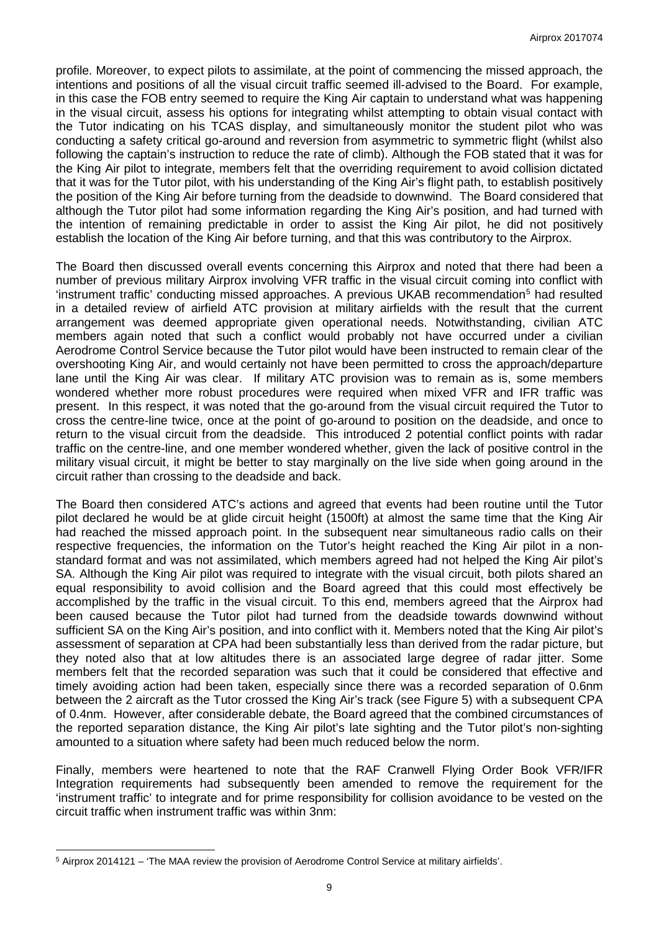profile. Moreover, to expect pilots to assimilate, at the point of commencing the missed approach, the intentions and positions of all the visual circuit traffic seemed ill-advised to the Board. For example, in this case the FOB entry seemed to require the King Air captain to understand what was happening in the visual circuit, assess his options for integrating whilst attempting to obtain visual contact with the Tutor indicating on his TCAS display, and simultaneously monitor the student pilot who was conducting a safety critical go-around and reversion from asymmetric to symmetric flight (whilst also following the captain's instruction to reduce the rate of climb). Although the FOB stated that it was for the King Air pilot to integrate, members felt that the overriding requirement to avoid collision dictated that it was for the Tutor pilot, with his understanding of the King Air's flight path, to establish positively the position of the King Air before turning from the deadside to downwind. The Board considered that although the Tutor pilot had some information regarding the King Air's position, and had turned with the intention of remaining predictable in order to assist the King Air pilot, he did not positively establish the location of the King Air before turning, and that this was contributory to the Airprox.

The Board then discussed overall events concerning this Airprox and noted that there had been a number of previous military Airprox involving VFR traffic in the visual circuit coming into conflict with 'instrument traffic' conducting missed approaches. A previous UKAB recommendation<sup>[5](#page-8-0)</sup> had resulted in a detailed review of airfield ATC provision at military airfields with the result that the current arrangement was deemed appropriate given operational needs. Notwithstanding, civilian ATC members again noted that such a conflict would probably not have occurred under a civilian Aerodrome Control Service because the Tutor pilot would have been instructed to remain clear of the overshooting King Air, and would certainly not have been permitted to cross the approach/departure lane until the King Air was clear. If military ATC provision was to remain as is, some members wondered whether more robust procedures were required when mixed VFR and IFR traffic was present. In this respect, it was noted that the go-around from the visual circuit required the Tutor to cross the centre-line twice, once at the point of go-around to position on the deadside, and once to return to the visual circuit from the deadside. This introduced 2 potential conflict points with radar traffic on the centre-line, and one member wondered whether, given the lack of positive control in the military visual circuit, it might be better to stay marginally on the live side when going around in the circuit rather than crossing to the deadside and back.

The Board then considered ATC's actions and agreed that events had been routine until the Tutor pilot declared he would be at glide circuit height (1500ft) at almost the same time that the King Air had reached the missed approach point. In the subsequent near simultaneous radio calls on their respective frequencies, the information on the Tutor's height reached the King Air pilot in a nonstandard format and was not assimilated, which members agreed had not helped the King Air pilot's SA. Although the King Air pilot was required to integrate with the visual circuit, both pilots shared an equal responsibility to avoid collision and the Board agreed that this could most effectively be accomplished by the traffic in the visual circuit. To this end, members agreed that the Airprox had been caused because the Tutor pilot had turned from the deadside towards downwind without sufficient SA on the King Air's position, and into conflict with it. Members noted that the King Air pilot's assessment of separation at CPA had been substantially less than derived from the radar picture, but they noted also that at low altitudes there is an associated large degree of radar jitter. Some members felt that the recorded separation was such that it could be considered that effective and timely avoiding action had been taken, especially since there was a recorded separation of 0.6nm between the 2 aircraft as the Tutor crossed the King Air's track (see Figure 5) with a subsequent CPA of 0.4nm. However, after considerable debate, the Board agreed that the combined circumstances of the reported separation distance, the King Air pilot's late sighting and the Tutor pilot's non-sighting amounted to a situation where safety had been much reduced below the norm.

Finally, members were heartened to note that the RAF Cranwell Flying Order Book VFR/IFR Integration requirements had subsequently been amended to remove the requirement for the 'instrument traffic' to integrate and for prime responsibility for collision avoidance to be vested on the circuit traffic when instrument traffic was within 3nm:

 $\overline{\phantom{a}}$ 

<span id="page-8-0"></span><sup>5</sup> Airprox 2014121 – 'The MAA review the provision of Aerodrome Control Service at military airfields'.